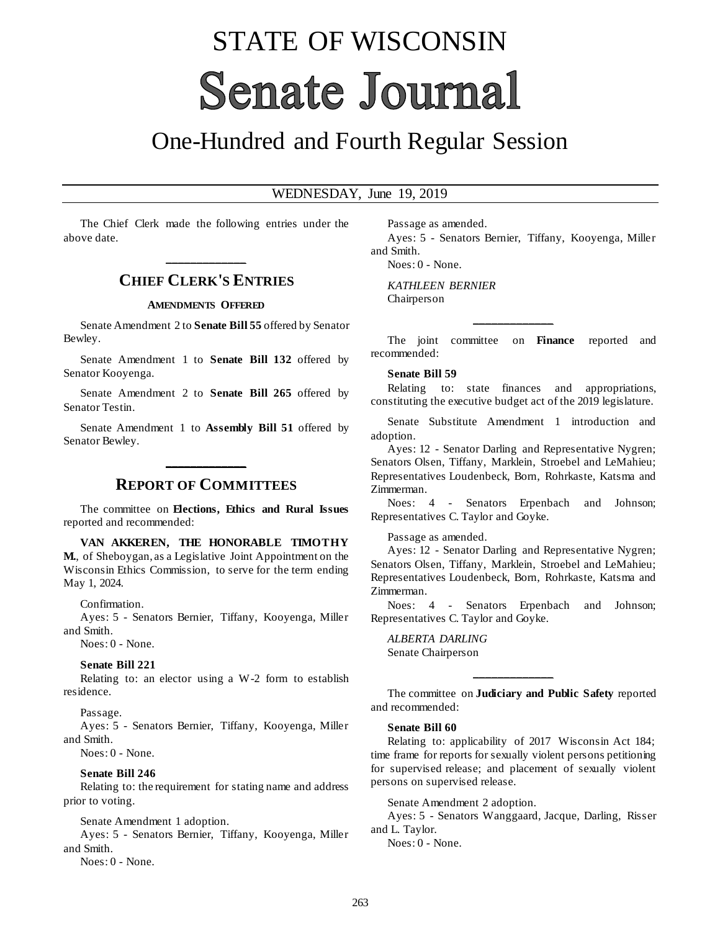# STATE OF WISCONSIN **Senate Journal**

## One-Hundred and Fourth Regular Session

#### WEDNESDAY, June 19, 2019

The Chief Clerk made the following entries under the above date.

## **\_\_\_\_\_\_\_\_\_\_\_\_\_ CHIEF CLERK'S ENTRIES**

#### **AMENDMENTS OFFERED**

Senate Amendment 2 to **Senate Bill 55** offered by Senator Bewley.

Senate Amendment 1 to **Senate Bill 132** offered by Senator Kooyenga.

Senate Amendment 2 to **Senate Bill 265** offered by Senator Testin.

Senate Amendment 1 to **Assembly Bill 51** offered by Senator Bewley.

### **REPORT OF COMMITTEES**

**\_\_\_\_\_\_\_\_\_\_\_\_\_**

The committee on **Elections, Ethics and Rural Issues** reported and recommended:

**VAN AKKEREN, THE HONORABLE TIMOTHY M.**, of Sheboygan, as a Legislative Joint Appointment on the Wisconsin Ethics Commission, to serve for the term ending May 1, 2024.

Confirmation.

Ayes: 5 - Senators Bernier, Tiffany, Kooyenga, Miller and Smith.

Noes: 0 - None.

#### **Senate Bill 221**

Relating to: an elector using a W-2 form to establish residence.

Passage.

Ayes: 5 - Senators Bernier, Tiffany, Kooyenga, Miller and Smith.

Noes: 0 - None.

#### **Senate Bill 246**

Relating to: the requirement for stating name and address prior to voting.

Senate Amendment 1 adoption. Ayes: 5 - Senators Bernier, Tiffany, Kooyenga, Miller and Smith.

Noes: 0 - None.

Passage as amended.

Ayes: 5 - Senators Bernier, Tiffany, Kooyenga, Miller and Smith.

Noes: 0 - None.

*KATHLEEN BERNIER* Chairperson

The joint committee on **Finance** reported and recommended:

**\_\_\_\_\_\_\_\_\_\_\_\_\_**

#### **Senate Bill 59**

Relating to: state finances and appropriations, constituting the executive budget act of the 2019 legislature.

Senate Substitute Amendment 1 introduction and adoption.

Ayes: 12 - Senator Darling and Representative Nygren; Senators Olsen, Tiffany, Marklein, Stroebel and LeMahieu; Representatives Loudenbeck, Born, Rohrkaste, Katsma and Zimmerman.

Noes: 4 - Senators Erpenbach and Johnson; Representatives C. Taylor and Goyke.

Passage as amended.

Ayes: 12 - Senator Darling and Representative Nygren; Senators Olsen, Tiffany, Marklein, Stroebel and LeMahieu; Representatives Loudenbeck, Born, Rohrkaste, Katsma and Zimmerman.

Noes: 4 - Senators Erpenbach and Johnson; Representatives C. Taylor and Goyke.

*ALBERTA DARLING* Senate Chairperson

The committee on **Judiciary and Public Safety** reported and recommended:

**\_\_\_\_\_\_\_\_\_\_\_\_\_**

#### **Senate Bill 60**

Relating to: applicability of 2017 Wisconsin Act 184; time frame for reports for sexually violent persons petitioning for supervised release; and placement of sexually violent persons on supervised release.

Senate Amendment 2 adoption.

Ayes: 5 - Senators Wanggaard, Jacque, Darling, Risser and L. Taylor.

Noes: 0 - None.